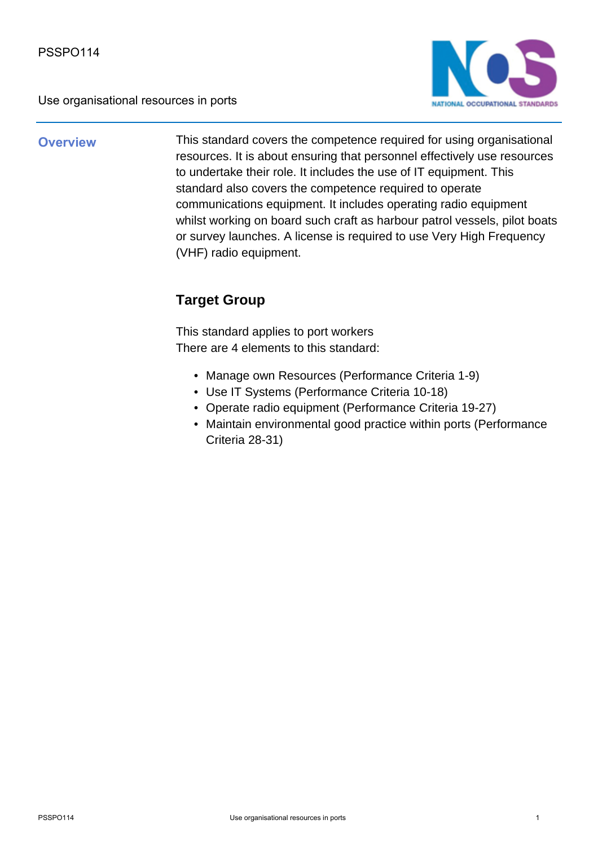

**Overview** This standard covers the competence required for using organisational resources. It is about ensuring that personnel effectively use resources to undertake their role. It includes the use of IT equipment. This standard also covers the competence required to operate communications equipment. It includes operating radio equipment whilst working on board such craft as harbour patrol vessels, pilot boats or survey launches. A license is required to use Very High Frequency (VHF) radio equipment.

## **Target Group**

This standard applies to port workers There are 4 elements to this standard:

- Manage own Resources (Performance Criteria 1-9)
- Use IT Systems (Performance Criteria 10-18)
- Operate radio equipment (Performance Criteria 19-27)
- Maintain environmental good practice within ports (Performance Criteria 28-31)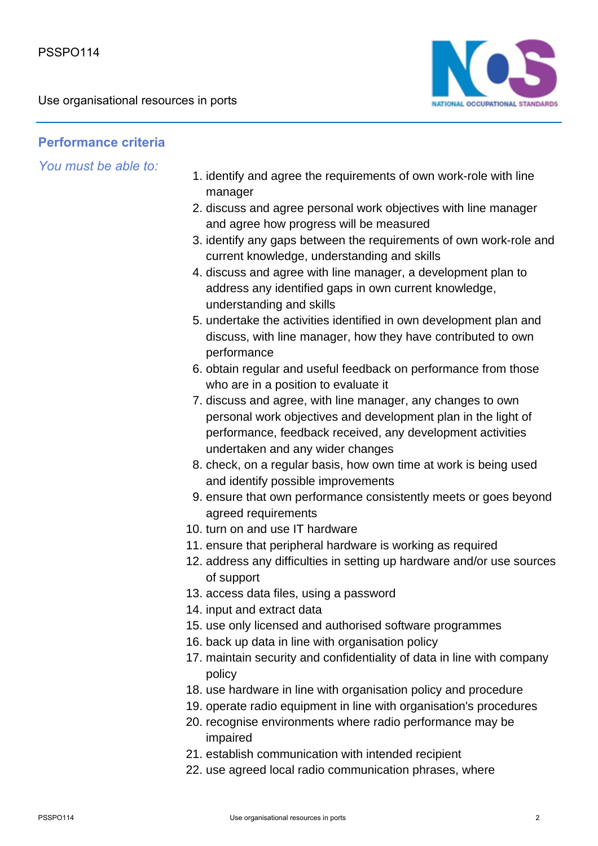

## **Performance criteria**

*You must be able to:*

- 1. identify and agree the requirements of own work-role with line manager
- 2. discuss and agree personal work objectives with line manager and agree how progress will be measured
- 3. identify any gaps between the requirements of own work-role and current knowledge, understanding and skills
- 4. discuss and agree with line manager, a development plan to address any identified gaps in own current knowledge, understanding and skills
- 5. undertake the activities identified in own development plan and discuss, with line manager, how they have contributed to own performance
- 6. obtain regular and useful feedback on performance from those who are in a position to evaluate it
- 7. discuss and agree, with line manager, any changes to own personal work objectives and development plan in the light of performance, feedback received, any development activities undertaken and any wider changes
- 8. check, on a regular basis, how own time at work is being used and identify possible improvements
- 9. ensure that own performance consistently meets or goes beyond agreed requirements
- 10. turn on and use IT hardware
- 11. ensure that peripheral hardware is working as required
- 12. address any difficulties in setting up hardware and/or use sources of support
- 13. access data files, using a password
- 14. input and extract data
- 15. use only licensed and authorised software programmes
- 16. back up data in line with organisation policy
- 17. maintain security and confidentiality of data in line with company policy
- 18. use hardware in line with organisation policy and procedure
- 19. operate radio equipment in line with organisation's procedures
- 20. recognise environments where radio performance may be impaired
- 21. establish communication with intended recipient
- 22. use agreed local radio communication phrases, where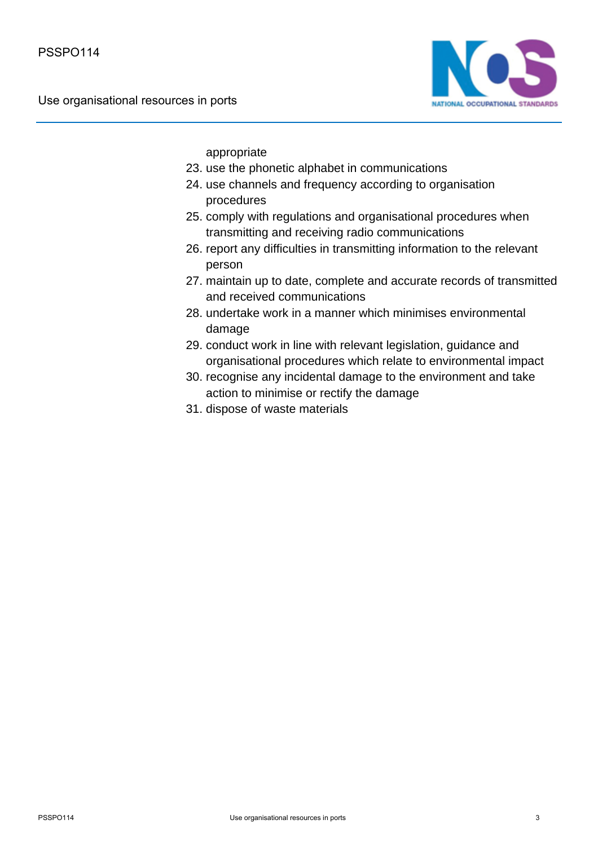

appropriate

- 23. use the phonetic alphabet in communications
- 24. use channels and frequency according to organisation procedures
- 25. comply with regulations and organisational procedures when transmitting and receiving radio communications
- 26. report any difficulties in transmitting information to the relevant person
- 27. maintain up to date, complete and accurate records of transmitted and received communications
- 28. undertake work in a manner which minimises environmental damage
- 29. conduct work in line with relevant legislation, guidance and organisational procedures which relate to environmental impact
- 30. recognise any incidental damage to the environment and take action to minimise or rectify the damage
- 31. dispose of waste materials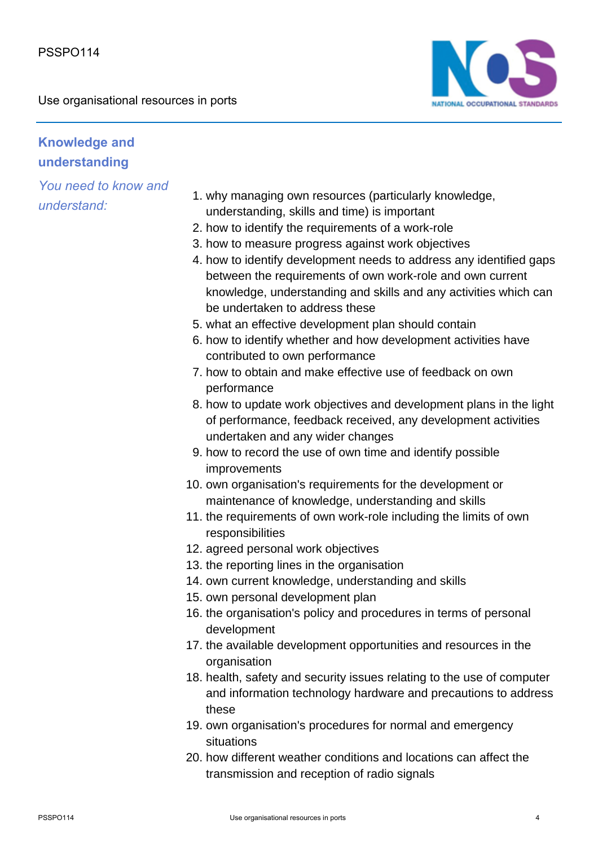

## **Knowledge and understanding**

*You need to know and understand:*

- why managing own resources (particularly knowledge, 1. understanding, skills and time) is important
- 2. how to identify the requirements of a work-role
- 3. how to measure progress against work objectives
- 4. how to identify development needs to address any identified gaps between the requirements of own work-role and own current knowledge, understanding and skills and any activities which can be undertaken to address these
- 5. what an effective development plan should contain
- 6. how to identify whether and how development activities have contributed to own performance
- 7. how to obtain and make effective use of feedback on own performance
- 8. how to update work objectives and development plans in the light of performance, feedback received, any development activities undertaken and any wider changes
- 9. how to record the use of own time and identify possible improvements
- 10. own organisation's requirements for the development or maintenance of knowledge, understanding and skills
- 11. the requirements of own work-role including the limits of own responsibilities
- 12. agreed personal work objectives
- 13. the reporting lines in the organisation
- 14. own current knowledge, understanding and skills
- 15. own personal development plan
- 16. the organisation's policy and procedures in terms of personal development
- 17. the available development opportunities and resources in the organisation
- 18. health, safety and security issues relating to the use of computer and information technology hardware and precautions to address these
- 19. own organisation's procedures for normal and emergency situations
- 20. how different weather conditions and locations can affect the transmission and reception of radio signals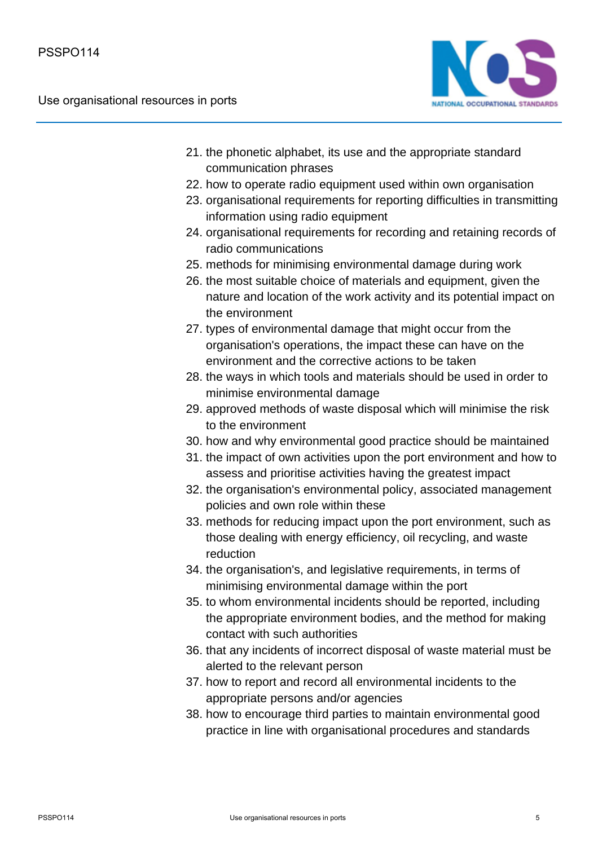

- 21. the phonetic alphabet, its use and the appropriate standard communication phrases
- 22. how to operate radio equipment used within own organisation
- 23. organisational requirements for reporting difficulties in transmitting information using radio equipment
- 24. organisational requirements for recording and retaining records of radio communications
- 25. methods for minimising environmental damage during work
- 26. the most suitable choice of materials and equipment, given the nature and location of the work activity and its potential impact on the environment
- 27. types of environmental damage that might occur from the organisation's operations, the impact these can have on the environment and the corrective actions to be taken
- 28. the ways in which tools and materials should be used in order to minimise environmental damage
- 29. approved methods of waste disposal which will minimise the risk to the environment
- 30. how and why environmental good practice should be maintained
- 31. the impact of own activities upon the port environment and how to assess and prioritise activities having the greatest impact
- 32. the organisation's environmental policy, associated management policies and own role within these
- 33. methods for reducing impact upon the port environment, such as those dealing with energy efficiency, oil recycling, and waste reduction
- 34. the organisation's, and legislative requirements, in terms of minimising environmental damage within the port
- 35. to whom environmental incidents should be reported, including the appropriate environment bodies, and the method for making contact with such authorities
- 36. that any incidents of incorrect disposal of waste material must be alerted to the relevant person
- 37. how to report and record all environmental incidents to the appropriate persons and/or agencies
- 38. how to encourage third parties to maintain environmental good practice in line with organisational procedures and standards